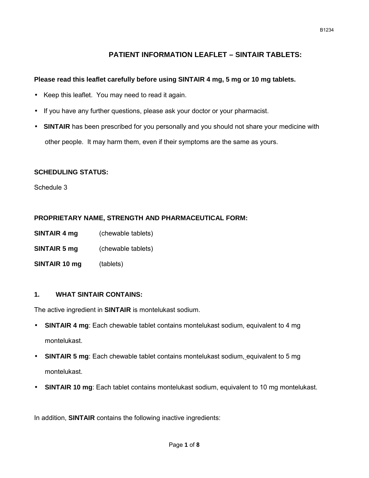# **PATIENT INFORMATION LEAFLET – SINTAIR TABLETS:**

# **Please read this leaflet carefully before using SINTAIR 4 mg, 5 mg or 10 mg tablets.**

- Keep this leaflet. You may need to read it again.
- If you have any further questions, please ask your doctor or your pharmacist.
- **SINTAIR** has been prescribed for you personally and you should not share your medicine with other people. It may harm them, even if their symptoms are the same as yours.

# **SCHEDULING STATUS:**

Schedule 3

# **PROPRIETARY NAME, STRENGTH AND PHARMACEUTICAL FORM:**

- **SINTAIR 4 mg** (chewable tablets)
- **SINTAIR 5 mg** (chewable tablets)
- **SINTAIR 10 mg** (tablets)

# **1. WHAT SINTAIR CONTAINS:**

The active ingredient in **SINTAIR** is montelukast sodium.

- **SINTAIR 4 mg**: Each chewable tablet contains montelukast sodium, equivalent to 4 mg montelukast.
- **SINTAIR 5 mg**: Each chewable tablet contains montelukast sodium, equivalent to 5 mg montelukast.
- **SINTAIR 10 mg**: Each tablet contains montelukast sodium, equivalent to 10 mg montelukast.

In addition, **SINTAIR** contains the following inactive ingredients: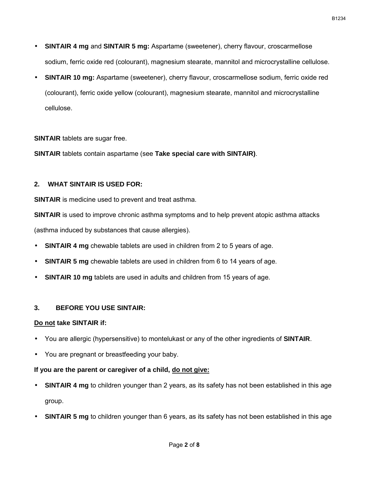- **SINTAIR 4 mg** and **SINTAIR 5 mg:** Aspartame (sweetener), cherry flavour, croscarmellose sodium, ferric oxide red (colourant), magnesium stearate, mannitol and microcrystalline cellulose.
- **SINTAIR 10 mg:** Aspartame (sweetener), cherry flavour, croscarmellose sodium, ferric oxide red (colourant), ferric oxide yellow (colourant), magnesium stearate, mannitol and microcrystalline cellulose.

**SINTAIR** tablets are sugar free.

**SINTAIR** tablets contain aspartame (see **Take special care with SINTAIR)**.

# **2. WHAT SINTAIR IS USED FOR:**

**SINTAIR** is medicine used to prevent and treat asthma.

**SINTAIR** is used to improve chronic asthma symptoms and to help prevent atopic asthma attacks (asthma induced by substances that cause allergies).

- **SINTAIR 4 mg** chewable tablets are used in children from 2 to 5 years of age.
- **SINTAIR 5 mg** chewable tablets are used in children from 6 to 14 years of age.
- **SINTAIR 10 mg** tablets are used in adults and children from 15 years of age.

# **3. BEFORE YOU USE SINTAIR:**

#### **Do not take SINTAIR if:**

- You are allergic (hypersensitive) to montelukast or any of the other ingredients of **SINTAIR**.
- You are pregnant or breastfeeding your baby.

# **If you are the parent or caregiver of a child, do not give:**

- **SINTAIR 4 mg** to children younger than 2 years, as its safety has not been established in this age group.
- **SINTAIR 5 mg** to children younger than 6 years, as its safety has not been established in this age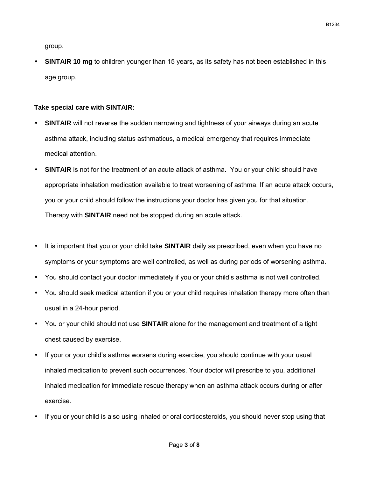B1234

group.

 **SINTAIR 10 mg** to children younger than 15 years, as its safety has not been established in this age group.

#### **Take special care with SINTAIR:**

- **SINTAIR** will not reverse the sudden narrowing and tightness of your airways during an acute asthma attack, including status asthmaticus, a medical emergency that requires immediate medical attention.
- **SINTAIR** is not for the treatment of an acute attack of asthma. You or your child should have appropriate inhalation medication available to treat worsening of asthma. If an acute attack occurs, you or your child should follow the instructions your doctor has given you for that situation. Therapy with **SINTAIR** need not be stopped during an acute attack.
- It is important that you or your child take **SINTAIR** daily as prescribed, even when you have no symptoms or your symptoms are well controlled, as well as during periods of worsening asthma.
- You should contact your doctor immediately if you or your child's asthma is not well controlled.
- You should seek medical attention if you or your child requires inhalation therapy more often than usual in a 24-hour period.
- You or your child should not use **SINTAIR** alone for the management and treatment of a tight chest caused by exercise.
- If your or your child's asthma worsens during exercise, you should continue with your usual inhaled medication to prevent such occurrences. Your doctor will prescribe to you, additional inhaled medication for immediate rescue therapy when an asthma attack occurs during or after exercise.
- If you or your child is also using inhaled or oral corticosteroids, you should never stop using that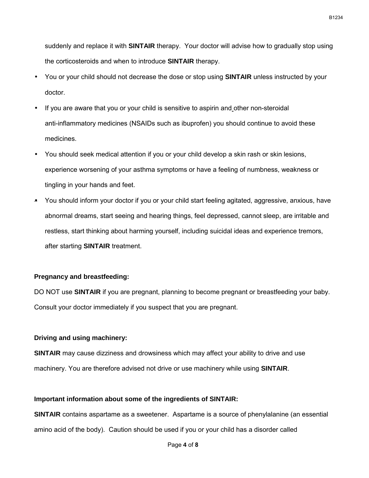suddenly and replace it with **SINTAIR** therapy. Your doctor will advise how to gradually stop using the corticosteroids and when to introduce **SINTAIR** therapy.

- You or your child should not decrease the dose or stop using **SINTAIR** unless instructed by your doctor.
- If you are aware that you or your child is sensitive to aspirin and other non-steroidal anti-inflammatory medicines (NSAIDs such as ibuprofen) you should continue to avoid these medicines.
- You should seek medical attention if you or your child develop a skin rash or skin lesions, experience worsening of your asthma symptoms or have a feeling of numbness, weakness or tingling in your hands and feet.
- You should inform your doctor if you or your child start feeling agitated, aggressive, anxious, have abnormal dreams, start seeing and hearing things, feel depressed, cannot sleep, are irritable and restless, start thinking about harming yourself, including suicidal ideas and experience tremors, after starting **SINTAIR** treatment.

#### **Pregnancy and breastfeeding:**

DO NOT use **SINTAIR** if you are pregnant, planning to become pregnant or breastfeeding your baby. Consult your doctor immediately if you suspect that you are pregnant.

#### **Driving and using machinery:**

**SINTAIR** may cause dizziness and drowsiness which may affect your ability to drive and use machinery. You are therefore advised not drive or use machinery while using **SINTAIR**.

#### **Important information about some of the ingredients of SINTAIR:**

**SINTAIR** contains aspartame as a sweetener. Aspartame is a source of phenylalanine (an essential amino acid of the body). Caution should be used if you or your child has a disorder called

B1234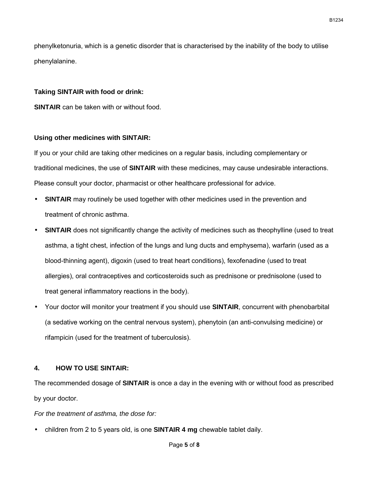phenylketonuria, which is a genetic disorder that is characterised by the inability of the body to utilise phenylalanine.

#### **Taking SINTAIR with food or drink:**

**SINTAIR** can be taken with or without food.

#### **Using other medicines with SINTAIR:**

If you or your child are taking other medicines on a regular basis, including complementary or traditional medicines, the use of **SINTAIR** with these medicines, may cause undesirable interactions. Please consult your doctor, pharmacist or other healthcare professional for advice.

- **SINTAIR** may routinely be used together with other medicines used in the prevention and treatment of chronic asthma.
- **SINTAIR** does not significantly change the activity of medicines such as theophylline (used to treat asthma, a tight chest, infection of the lungs and lung ducts and emphysema), warfarin (used as a blood-thinning agent), digoxin (used to treat heart conditions), fexofenadine (used to treat allergies), oral contraceptives and corticosteroids such as prednisone or prednisolone (used to treat general inflammatory reactions in the body).
- Your doctor will monitor your treatment if you should use **SINTAIR**, concurrent with phenobarbital (a sedative working on the central nervous system), phenytoin (an anti-convulsing medicine) or rifampicin (used for the treatment of tuberculosis).

#### **4. HOW TO USE SINTAIR:**

The recommended dosage of **SINTAIR** is once a day in the evening with or without food as prescribed by your doctor.

*For the treatment of asthma, the dose for:*

children from 2 to 5 years old, is one **SINTAIR 4 mg** chewable tablet daily.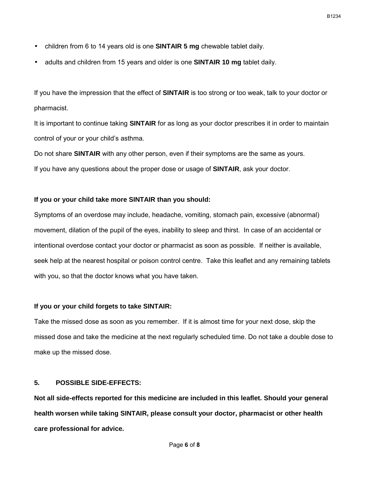- children from 6 to 14 years old is one **SINTAIR 5 mg** chewable tablet daily.
- adults and children from 15 years and older is one **SINTAIR 10 mg** tablet daily.

If you have the impression that the effect of **SINTAIR** is too strong or too weak, talk to your doctor or pharmacist.

It is important to continue taking **SINTAIR** for as long as your doctor prescribes it in order to maintain control of your or your child's asthma.

Do not share **SINTAIR** with any other person, even if their symptoms are the same as yours. If you have any questions about the proper dose or usage of **SINTAIR**, ask your doctor.

#### **If you or your child take more SINTAIR than you should:**

Symptoms of an overdose may include, headache, vomiting, stomach pain, excessive (abnormal) movement, dilation of the pupil of the eyes, inability to sleep and thirst. In case of an accidental or intentional overdose contact your doctor or pharmacist as soon as possible. If neither is available, seek help at the nearest hospital or poison control centre. Take this leaflet and any remaining tablets with you, so that the doctor knows what you have taken.

#### **If you or your child forgets to take SINTAIR:**

Take the missed dose as soon as you remember. If it is almost time for your next dose, skip the missed dose and take the medicine at the next regularly scheduled time. Do not take a double dose to make up the missed dose.

#### **5. POSSIBLE SIDE-EFFECTS:**

**Not all side-effects reported for this medicine are included in this leaflet. Should your general health worsen while taking SINTAIR, please consult your doctor, pharmacist or other health care professional for advice.**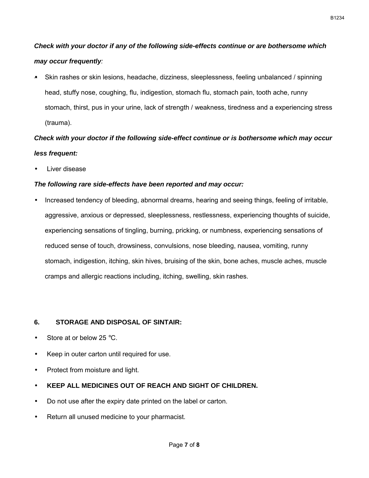# *Check with your doctor if any of the following side-effects continue or are bothersome which may occur frequently:*

 Skin rashes or skin lesions, headache, dizziness, sleeplessness, feeling unbalanced / spinning head, stuffy nose, coughing, flu, indigestion, stomach flu, stomach pain, tooth ache, runny stomach, thirst, pus in your urine, lack of strength / weakness, tiredness and a experiencing stress (trauma).

# *Check with your doctor if the following side-effect continue or is bothersome which may occur less frequent:*

Liver disease

# *The following rare side-effects have been reported and may occur:*

 Increased tendency of bleeding, abnormal dreams, hearing and seeing things, feeling of irritable, aggressive, anxious or depressed, sleeplessness, restlessness, experiencing thoughts of suicide, experiencing sensations of tingling, burning, pricking, or numbness, experiencing sensations of reduced sense of touch, drowsiness, convulsions, nose bleeding, nausea, vomiting, runny stomach, indigestion, itching, skin hives, bruising of the skin, bone aches, muscle aches, muscle cramps and allergic reactions including, itching, swelling, skin rashes.

# **6. STORAGE AND DISPOSAL OF SINTAIR:**

- Store at or below  $25^{\circ}$ C.
- Keep in outer carton until required for use.
- Protect from moisture and light.
- **KEEP ALL MEDICINES OUT OF REACH AND SIGHT OF CHILDREN.**
- Do not use after the expiry date printed on the label or carton.
- Return all unused medicine to your pharmacist.